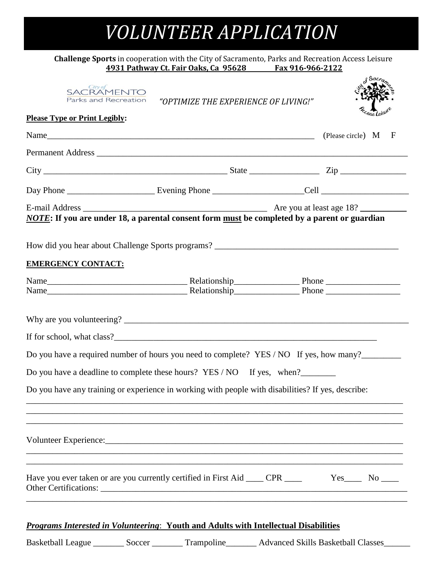# *VOLUNTEER APPLICATION*

#### **Challenge Sports** in cooperation with the City of Sacramento, Parks and Recreation Access Leisure<br>4931 Pathway Ct. Fair Oaks, Ca 95628 Fax 916-966-2122 **4931 Pathway Ct. Fair Oaks, Ca 95628 Fax 916-966-2122**

| SACRAMENTO<br>Parks and Recreation<br><b>Please Type or Print Legibly:</b> | "OPTIMIZE THE EXPERIENCE OF LIVING!"                                                                                                                                                              | Cess Leisu                                                                                   |
|----------------------------------------------------------------------------|---------------------------------------------------------------------------------------------------------------------------------------------------------------------------------------------------|----------------------------------------------------------------------------------------------|
|                                                                            |                                                                                                                                                                                                   | (Please circle) M<br>F                                                                       |
|                                                                            |                                                                                                                                                                                                   |                                                                                              |
|                                                                            |                                                                                                                                                                                                   | $City$ $Zip$ $Zip$                                                                           |
|                                                                            |                                                                                                                                                                                                   |                                                                                              |
|                                                                            | NOTE: If you are under 18, a parental consent form must be completed by a parent or guardian                                                                                                      |                                                                                              |
|                                                                            |                                                                                                                                                                                                   |                                                                                              |
| <b>EMERGENCY CONTACT:</b>                                                  |                                                                                                                                                                                                   |                                                                                              |
|                                                                            |                                                                                                                                                                                                   |                                                                                              |
|                                                                            |                                                                                                                                                                                                   |                                                                                              |
|                                                                            |                                                                                                                                                                                                   |                                                                                              |
|                                                                            |                                                                                                                                                                                                   | Do you have a required number of hours you need to complete? YES / NO If yes, how many?      |
|                                                                            | Do you have a deadline to complete these hours? YES / NO If yes, when?                                                                                                                            |                                                                                              |
|                                                                            | Do you have any training or experience in working with people with disabilities? If yes, describe:                                                                                                |                                                                                              |
|                                                                            |                                                                                                                                                                                                   |                                                                                              |
|                                                                            |                                                                                                                                                                                                   | Have you ever taken or are you currently certified in First Aid ____ CPR ____ Yes____ No ___ |
|                                                                            | <b>Programs Interested in Volunteering: Youth and Adults with Intellectual Disabilities</b><br>Basketball League _________ Soccer ________ Trampoline________ Advanced Skills Basketball Classes_ |                                                                                              |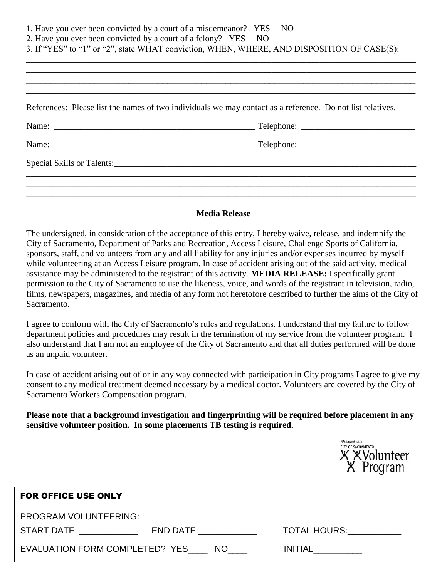|                                                                | 1. Have you ever been convicted by a court of a misdemeanor? YES NO                                             |
|----------------------------------------------------------------|-----------------------------------------------------------------------------------------------------------------|
| 2. Have you ever been convicted by a court of a felony? YES NO |                                                                                                                 |
|                                                                | 3. If "YES" to "1" or "2", state WHAT conviction, WHEN, WHERE, AND DISPOSITION OF CASE(S):                      |
|                                                                |                                                                                                                 |
|                                                                |                                                                                                                 |
|                                                                |                                                                                                                 |
|                                                                |                                                                                                                 |
|                                                                | References: Please list the names of two individuals we may contact as a reference. Do not list relatives.      |
|                                                                |                                                                                                                 |
|                                                                |                                                                                                                 |
|                                                                | Special Skills or Talents: 2008 and 2008 and 2008 and 2008 and 2008 and 2008 and 2008 and 2008 and 2008 and 200 |
|                                                                |                                                                                                                 |
|                                                                |                                                                                                                 |
|                                                                |                                                                                                                 |
|                                                                |                                                                                                                 |

#### **Media Release**

The undersigned, in consideration of the acceptance of this entry, I hereby waive, release, and indemnify the City of Sacramento, Department of Parks and Recreation, Access Leisure, Challenge Sports of California, sponsors, staff, and volunteers from any and all liability for any injuries and/or expenses incurred by myself while volunteering at an Access Leisure program. In case of accident arising out of the said activity, medical assistance may be administered to the registrant of this activity. **MEDIA RELEASE:** I specifically grant permission to the City of Sacramento to use the likeness, voice, and words of the registrant in television, radio, films, newspapers, magazines, and media of any form not heretofore described to further the aims of the City of Sacramento.

I agree to conform with the City of Sacramento's rules and regulations. I understand that my failure to follow department policies and procedures may result in the termination of my service from the volunteer program. I also understand that I am not an employee of the City of Sacramento and that all duties performed will be done as an unpaid volunteer.

In case of accident arising out of or in any way connected with participation in City programs I agree to give my consent to any medical treatment deemed necessary by a medical doctor. Volunteers are covered by the City of Sacramento Workers Compensation program.

**Please note that a background investigation and fingerprinting will be required before placement in any sensitive volunteer position. In some placements TB testing is required.**



| <b>FOR OFFICE USE ONLY</b>                                                                                                                                                                                                     |                                                                                                                |                          |  |  |
|--------------------------------------------------------------------------------------------------------------------------------------------------------------------------------------------------------------------------------|----------------------------------------------------------------------------------------------------------------|--------------------------|--|--|
| PROGRAM VOLUNTEERING: UNIVERSITY OF A SERVICE OF A SERVICE OF A SERVICE OF A SERVICE OF A SERVICE OF A SERVICE OF A SERVICE OF A SERVICE OF A SERVICE OF A SERVICE OF A SERVICE OF A SERVICE OF A SERVICE OF A SERVICE OF A SE |                                                                                                                |                          |  |  |
| START DATE: ______________                                                                                                                                                                                                     | END DATE: THE STATE OF THE STATE OF THE STATE OF THE STATE OF THE STATE OF THE STATE OF THE STATE OF THE STATE | TOTAL HOURS: TOTAL HOURS |  |  |
| EVALUATION FORM COMPLETED? YES _____ NO_____                                                                                                                                                                                   |                                                                                                                | <b>INITIAL</b>           |  |  |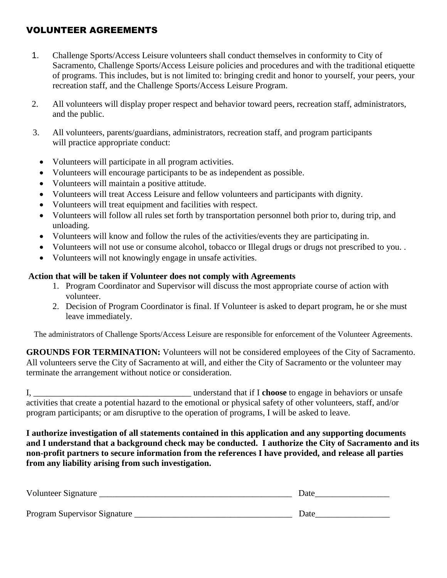# VOLUNTEER AGREEMENTS

- 1. Challenge Sports/Access Leisure volunteers shall conduct themselves in conformity to City of Sacramento, Challenge Sports/Access Leisure policies and procedures and with the traditional etiquette of programs. This includes, but is not limited to: bringing credit and honor to yourself, your peers, your recreation staff, and the Challenge Sports/Access Leisure Program.
- 2. All volunteers will display proper respect and behavior toward peers, recreation staff, administrators, and the public.
- 3. All volunteers, parents/guardians, administrators, recreation staff, and program participants will practice appropriate conduct:
	- Volunteers will participate in all program activities.
	- Volunteers will encourage participants to be as independent as possible.
	- Volunteers will maintain a positive attitude.
	- Volunteers will treat Access Leisure and fellow volunteers and participants with dignity.
	- Volunteers will treat equipment and facilities with respect.
	- Volunteers will follow all rules set forth by transportation personnel both prior to, during trip, and unloading.
	- Volunteers will know and follow the rules of the activities/events they are participating in.
	- Volunteers will not use or consume alcohol, tobacco or Illegal drugs or drugs not prescribed to you. .
	- Volunteers will not knowingly engage in unsafe activities.

#### **Action that will be taken if Volunteer does not comply with Agreements**

- 1. Program Coordinator and Supervisor will discuss the most appropriate course of action with volunteer.
- 2. Decision of Program Coordinator is final. If Volunteer is asked to depart program, he or she must leave immediately.

The administrators of Challenge Sports/Access Leisure are responsible for enforcement of the Volunteer Agreements.

**GROUNDS FOR TERMINATION:** Volunteers will not be considered employees of the City of Sacramento. All volunteers serve the City of Sacramento at will, and either the City of Sacramento or the volunteer may terminate the arrangement without notice or consideration.

I, \_\_\_\_\_\_\_\_\_\_\_\_\_\_\_\_\_\_\_\_\_\_\_\_\_\_\_\_\_\_\_\_\_\_\_\_ understand that if I **choose** to engage in behaviors or unsafe activities that create a potential hazard to the emotional or physical safety of other volunteers, staff, and/or program participants; or am disruptive to the operation of programs, I will be asked to leave.

**I authorize investigation of all statements contained in this application and any supporting documents and I understand that a background check may be conducted. I authorize the City of Sacramento and its non-profit partners to secure information from the references I have provided, and release all parties from any liability arising from such investigation.**

| Volunteer Signature          | Date |
|------------------------------|------|
|                              |      |
| Program Supervisor Signature | Date |